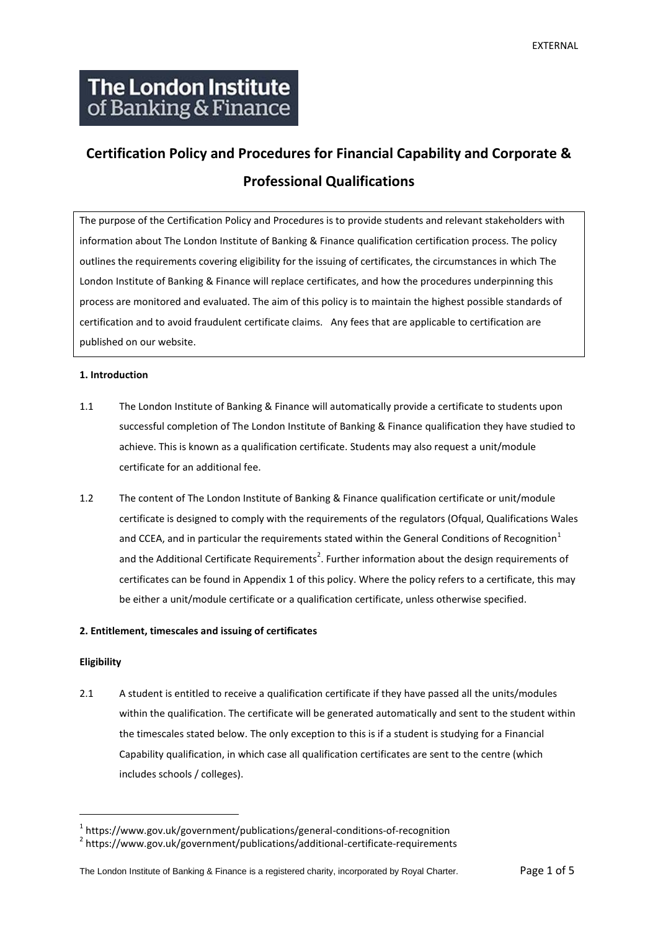# The London Institute<br>of Banking & Finance

# **Certification Policy and Procedures for Financial Capability and Corporate & Professional Qualifications**

The purpose of the Certification Policy and Procedures is to provide students and relevant stakeholders with information about The London Institute of Banking & Finance qualification certification process. The policy outlines the requirements covering eligibility for the issuing of certificates, the circumstances in which The London Institute of Banking & Finance will replace certificates, and how the procedures underpinning this process are monitored and evaluated. The aim of this policy is to maintain the highest possible standards of certification and to avoid fraudulent certificate claims. Any fees that are applicable to certification are published on our website.

### **1. Introduction**

- 1.1 The London Institute of Banking & Finance will automatically provide a certificate to students upon successful completion of The London Institute of Banking & Finance qualification they have studied to achieve. This is known as a qualification certificate. Students may also request a unit/module certificate for an additional fee.
- 1.2 The content of The London Institute of Banking & Finance qualification certificate or unit/module certificate is designed to comply with the requirements of the regulators (Ofqual, Qualifications Wales and CCEA, and in particular the requirements stated within the General Conditions of Recognition<sup>1</sup> and the Additional Certificate Requirements<sup>2</sup>. Further information about the design requirements of certificates can be found in Appendix 1 of this policy. Where the policy refers to a certificate, this may be either a unit/module certificate or a qualification certificate, unless otherwise specified.

#### **2. Entitlement, timescales and issuing of certificates**

#### **Eligibility**

2.1 A student is entitled to receive a qualification certificate if they have passed all the units/modules within the qualification. The certificate will be generated automatically and sent to the student within the timescales stated below. The only exception to this is if a student is studying for a Financial Capability qualification, in which case all qualification certificates are sent to the centre (which includes schools / colleges).

<sup>1</sup> https://www.gov.uk/government/publications/general-conditions-of-recognition

<sup>&</sup>lt;sup>2</sup> https://www.gov.uk/government/publications/additional-certificate-requirements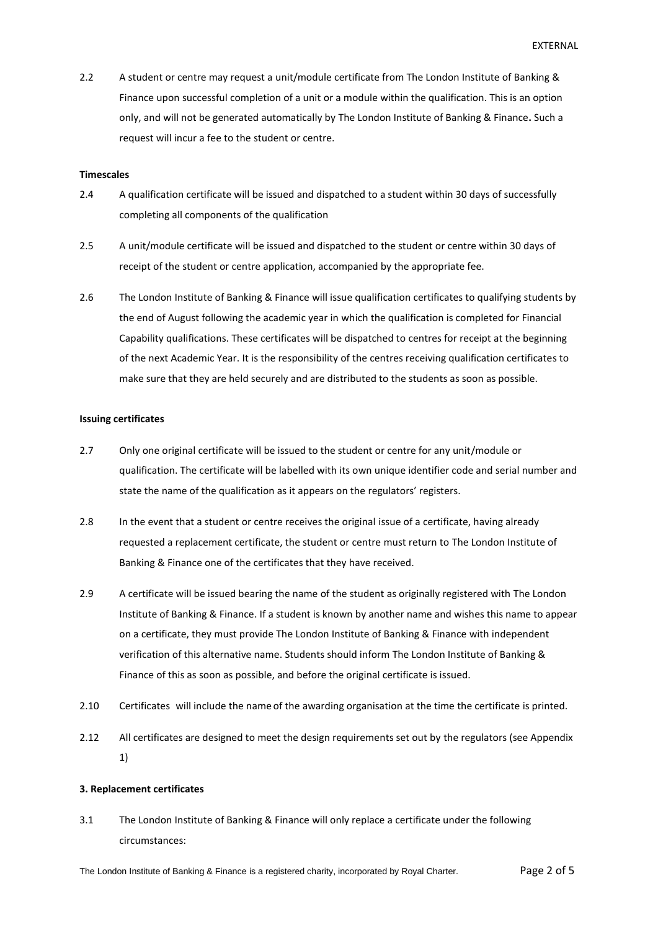2.2 A student or centre may request a unit/module certificate from The London Institute of Banking & Finance upon successful completion of a unit or a module within the qualification. This is an option only, and will not be generated automatically by The London Institute of Banking & Finance**.** Such a request will incur a fee to the student or centre.

#### **Timescales**

- 2.4 A qualification certificate will be issued and dispatched to a student within 30 days of successfully completing all components of the qualification
- 2.5 A unit/module certificate will be issued and dispatched to the student or centre within 30 days of receipt of the student or centre application, accompanied by the appropriate fee.
- 2.6 The London Institute of Banking & Finance will issue qualification certificates to qualifying students by the end of August following the academic year in which the qualification is completed for Financial Capability qualifications. These certificates will be dispatched to centres for receipt at the beginning of the next Academic Year. It is the responsibility of the centres receiving qualification certificates to make sure that they are held securely and are distributed to the students as soon as possible.

#### **Issuing certificates**

- 2.7 Only one original certificate will be issued to the student or centre for any unit/module or qualification. The certificate will be labelled with its own unique identifier code and serial number and state the name of the qualification as it appears on the regulators' registers.
- 2.8 In the event that a student or centre receives the original issue of a certificate, having already requested a replacement certificate, the student or centre must return to The London Institute of Banking & Finance one of the certificates that they have received.
- 2.9 A certificate will be issued bearing the name of the student as originally registered with The London Institute of Banking & Finance. If a student is known by another name and wishes this name to appear on a certificate, they must provide The London Institute of Banking & Finance with independent verification of this alternative name. Students should inform The London Institute of Banking & Finance of this as soon as possible, and before the original certificate is issued.
- 2.10 Certificates will include the name of the awarding organisation at the time the certificate is printed.
- 2.12 All certificates are designed to meet the design requirements set out by the regulators (see Appendix 1)

#### **3. Replacement certificates**

3.1 The London Institute of Banking & Finance will only replace a certificate under the following circumstances: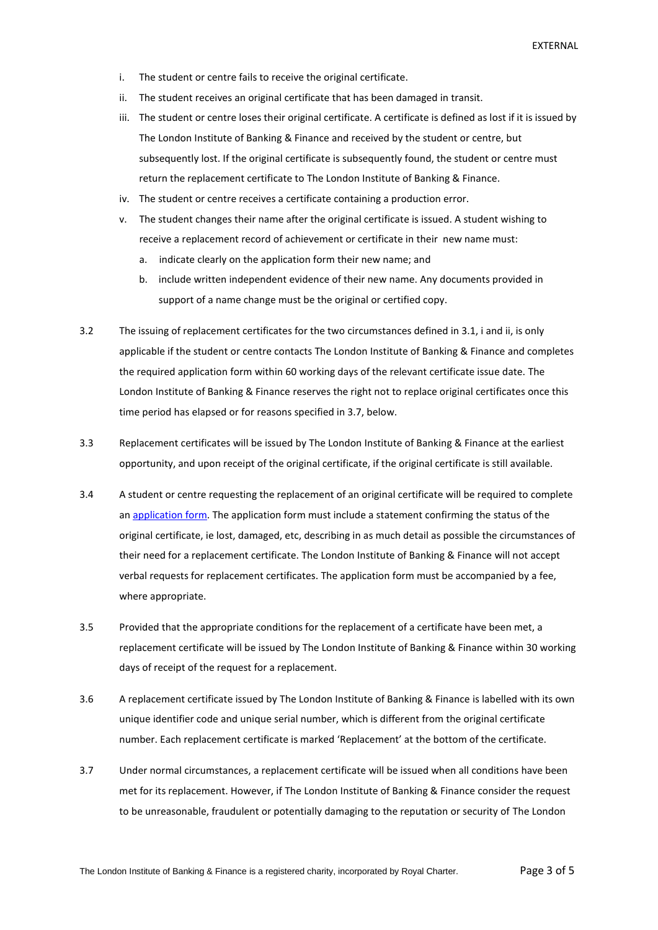- i. The student or centre fails to receive the original certificate.
- ii. The student receives an original certificate that has been damaged in transit.
- iii. The student or centre loses their original certificate. A certificate is defined as lost if it is issued by The London Institute of Banking & Finance and received by the student or centre, but subsequently lost. If the original certificate is subsequently found, the student or centre must return the replacement certificate to The London Institute of Banking & Finance.
- iv. The student or centre receives a certificate containing a production error.
- v. The student changes their name after the original certificate is issued. A student wishing to receive a replacement record of achievement or certificate in their new name must:
	- a. indicate clearly on the application form their new name; and
	- b. include written independent evidence of their new name. Any documents provided in support of a name change must be the original or certified copy.
- 3.2 The issuing of replacement certificates for the two circumstances defined in 3.1, i and ii, is only applicable if the student or centre contacts The London Institute of Banking & Finance and completes the required application form within 60 working days of the relevant certificate issue date. The London Institute of Banking & Finance reserves the right not to replace original certificates once this time period has elapsed or for reasons specified in 3.7, below.
- 3.3 Replacement certificates will be issued by The London Institute of Banking & Finance at the earliest opportunity, and upon receipt of the original certificate, if the original certificate is still available.
- 3.4 A student or centre requesting the replacement of an original certificate will be required to complete a[n application form.](http://www.libf.ac.uk/docs/default-source/cpq/exam-booking-and-information/record-of-achievement-and-certificate-re-issue-form.pdf?sfvrsn=2) The application form must include a statement confirming the status of the original certificate, ie lost, damaged, etc, describing in as much detail as possible the circumstances of their need for a replacement certificate. The London Institute of Banking & Finance will not accept verbal requests for replacement certificates. The application form must be accompanied by a fee, where appropriate.
- 3.5 Provided that the appropriate conditions for the replacement of a certificate have been met, a replacement certificate will be issued by The London Institute of Banking & Finance within 30 working days of receipt of the request for a replacement.
- 3.6 A replacement certificate issued by The London Institute of Banking & Finance is labelled with its own unique identifier code and unique serial number, which is different from the original certificate number. Each replacement certificate is marked 'Replacement' at the bottom of the certificate.
- 3.7 Under normal circumstances, a replacement certificate will be issued when all conditions have been met for its replacement. However, if The London Institute of Banking & Finance consider the request to be unreasonable, fraudulent or potentially damaging to the reputation or security of The London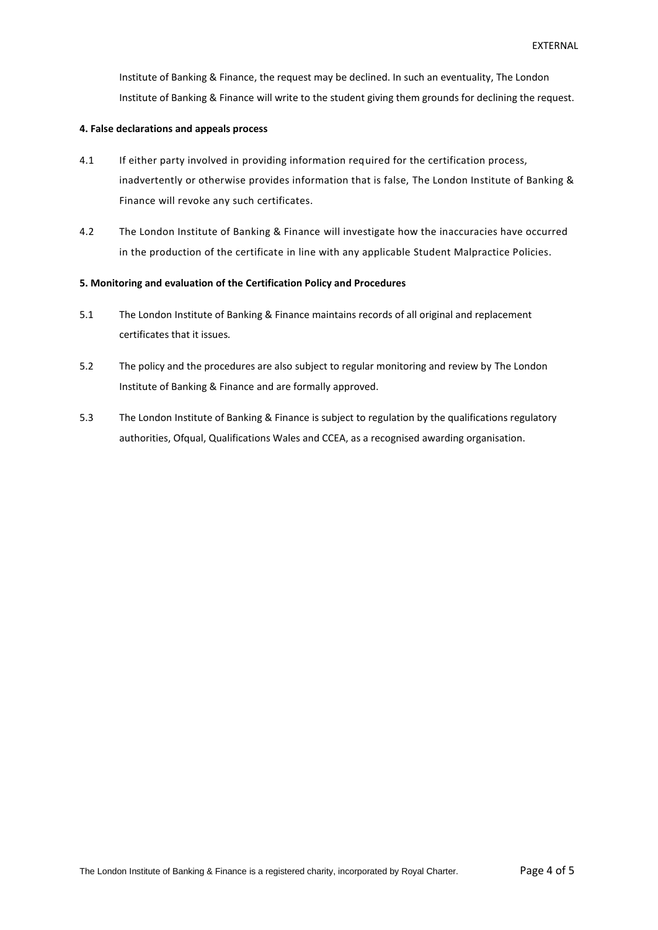Institute of Banking & Finance, the request may be declined. In such an eventuality, The London Institute of Banking & Finance will write to the student giving them grounds for declining the request.

#### **4. False declarations and appeals process**

- 4.1 If either party involved in providing information required for the certification process, inadvertently or otherwise provides information that is false, The London Institute of Banking & Finance will revoke any such certificates.
- 4.2 The London Institute of Banking & Finance will investigate how the inaccuracies have occurred in the production of the certificate in line with any applicable Student Malpractice Policies.

#### **5. Monitoring and evaluation of the Certification Policy and Procedures**

- 5.1 The London Institute of Banking & Finance maintains records of all original and replacement certificates that it issues*.*
- 5.2 The policy and the procedures are also subject to regular monitoring and review by The London Institute of Banking & Finance and are formally approved.
- 5.3 The London Institute of Banking & Finance is subject to regulation by the qualifications regulatory authorities, Ofqual, Qualifications Wales and CCEA, as a recognised awarding organisation.